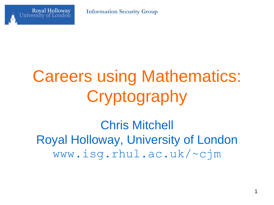

# Careers using Mathematics: **Cryptography**

Chris Mitchell Royal Holloway, University of London www.isg.rhul.ac.uk/~cjm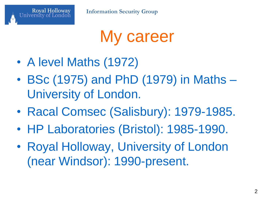

My career

- A level Maths (1972)
- BSc (1975) and PhD (1979) in Maths University of London.
- Racal Comsec (Salisbury): 1979-1985.
- HP Laboratories (Bristol): 1985-1990.
- Royal Holloway, University of London (near Windsor): 1990-present.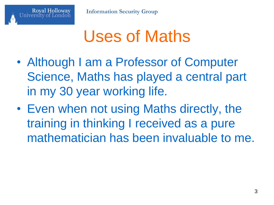

#### Uses of Maths

- Although I am a Professor of Computer Science, Maths has played a central part in my 30 year working life.
- Even when not using Maths directly, the training in thinking I received as a pure mathematician has been invaluable to me.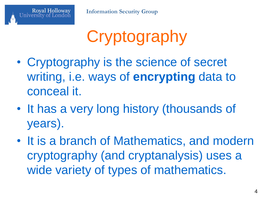

**Information Security Group**

# **Cryptography**

- Cryptography is the science of secret writing, i.e. ways of **encrypting** data to conceal it.
- It has a very long history (thousands of years).
- It is a branch of Mathematics, and modern cryptography (and cryptanalysis) uses a wide variety of types of mathematics.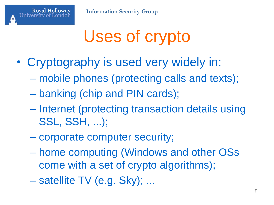

## Uses of crypto

- Cryptography is used very widely in:
	- mobile phones (protecting calls and texts);
	- banking (chip and PIN cards);

**Royal Holloway** 

- Internet (protecting transaction details using SSL, SSH, ...);
- corporate computer security;
- home computing (Windows and other OSs come with a set of crypto algorithms);
- satellite TV (e.g. Sky); ...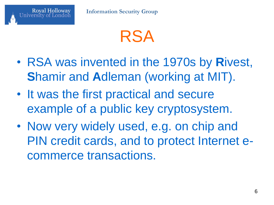

- RSA was invented in the 1970s by **R**ivest, **S**hamir and **A**dleman (working at MIT).
- It was the first practical and secure example of a public key cryptosystem.
- Now very widely used, e.g. on chip and PIN credit cards, and to protect Internet ecommerce transactions.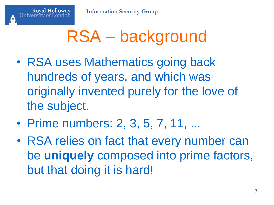## RSA – background

- RSA uses Mathematics going back hundreds of years, and which was originally invented purely for the love of the subject.
- Prime numbers: 2, 3, 5, 7, 11, ...
- RSA relies on fact that every number can be **uniquely** composed into prime factors, but that doing it is hard!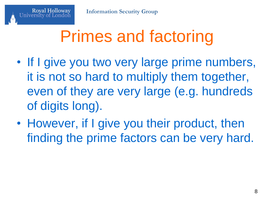## Primes and factoring

- If I give you two very large prime numbers, it is not so hard to multiply them together, even of they are very large (e.g. hundreds of digits long).
- However, if I give you their product, then finding the prime factors can be very hard.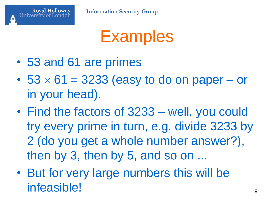

**Information Security Group**

**Examples** 

- 53 and 61 are primes
- $53 \times 61 = 3233$  (easy to do on paper or in your head).
- Find the factors of 3233 well, you could try every prime in turn, e.g. divide 3233 by 2 (do you get a whole number answer?), then by 3, then by 5, and so on ...
- But for very large numbers this will be infeasible! <sup>9</sup>